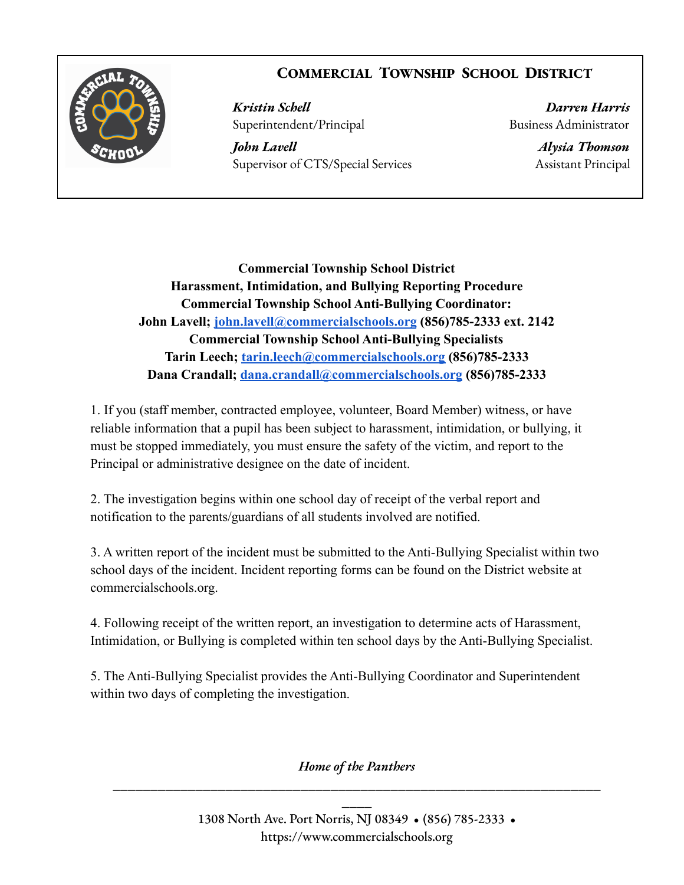## **COMMERCIAL TOWNSHIP SCHOOL DISTRICT**



*Kristin Schell Darren Harris* Superintendent/Principal Business Administrator

*John Lavell Alysia Thomson* Supervisor of CTS/Special Services Assistant Principal

**Commercial Township School District Harassment, Intimidation, and Bullying Reporting Procedure Commercial Township School Anti-Bullying Coordinator: John Lavell; [john.lavell@commercialschools.org](mailto:john.lavell@commercialschools.org) (856)785-2333 ext. 2142 Commercial Township School Anti-Bullying Specialists Tarin Leech; [tarin.leech@commercialschools.org](mailto:tarin.leech@commercialschools.org) (856)785-2333 Dana Crandall; [dana.crandall@commercialschools.org](mailto:dana.crandall@commercialschools.org) (856)785-2333**

1. If you (staff member, contracted employee, volunteer, Board Member) witness, or have reliable information that a pupil has been subject to harassment, intimidation, or bullying, it must be stopped immediately, you must ensure the safety of the victim, and report to the Principal or administrative designee on the date of incident.

2. The investigation begins within one school day of receipt of the verbal report and notification to the parents/guardians of all students involved are notified.

3. A written report of the incident must be submitted to the Anti-Bullying Specialist within two school days of the incident. Incident reporting forms can be found on the District website at commercialschools.org.

4. Following receipt of the written report, an investigation to determine acts of Harassment, Intimidation, or Bullying is completed within ten school days by the Anti-Bullying Specialist.

5. The Anti-Bullying Specialist provides the Anti-Bullying Coordinator and Superintendent within two days of completing the investigation.

*Home of the Panthers* **\_\_\_\_\_\_\_\_\_\_\_\_\_\_\_\_\_\_\_\_\_\_\_\_\_\_\_\_\_\_\_\_\_\_\_\_\_\_\_\_\_\_\_\_\_\_\_\_\_\_\_\_\_\_\_\_\_\_\_\_\_\_\_\_\_**

> 1308 North Ave. Port Norris, NJ 08349 • (856) 785-2333 • https://www.commercialschools.org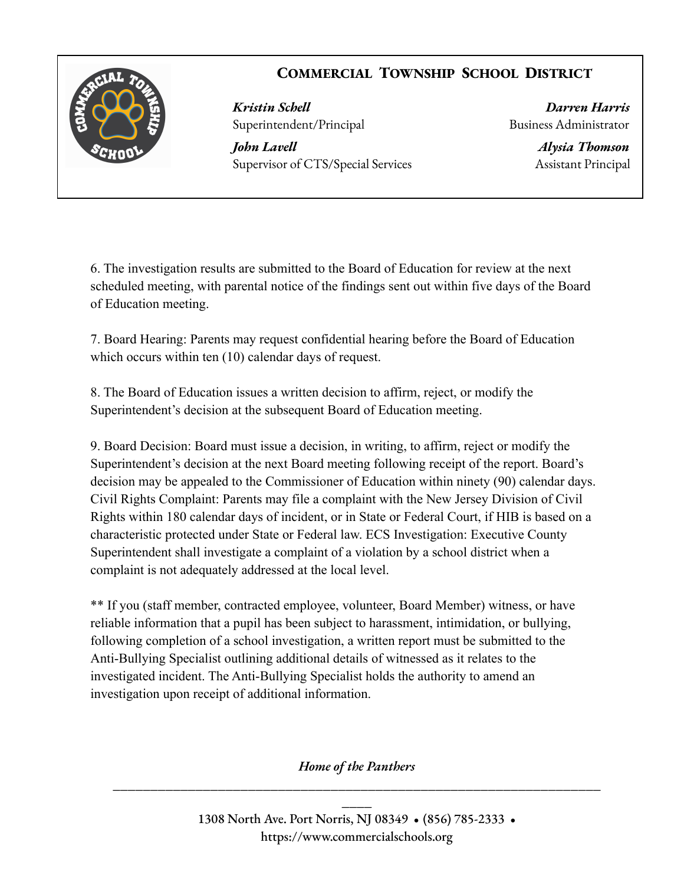## **COMMERCIAL TOWNSHIP SCHOOL DISTRICT**



*Kristin Schell Darren Harris* Superintendent/Principal Business Administrator

*John Lavell Alysia Thomson* Supervisor of CTS/Special Services Assistant Principal

6. The investigation results are submitted to the Board of Education for review at the next scheduled meeting, with parental notice of the findings sent out within five days of the Board of Education meeting.

7. Board Hearing: Parents may request confidential hearing before the Board of Education which occurs within ten (10) calendar days of request.

8. The Board of Education issues a written decision to affirm, reject, or modify the Superintendent's decision at the subsequent Board of Education meeting.

9. Board Decision: Board must issue a decision, in writing, to affirm, reject or modify the Superintendent's decision at the next Board meeting following receipt of the report. Board's decision may be appealed to the Commissioner of Education within ninety (90) calendar days. Civil Rights Complaint: Parents may file a complaint with the New Jersey Division of Civil Rights within 180 calendar days of incident, or in State or Federal Court, if HIB is based on a characteristic protected under State or Federal law. ECS Investigation: Executive County Superintendent shall investigate a complaint of a violation by a school district when a complaint is not adequately addressed at the local level.

\*\* If you (staff member, contracted employee, volunteer, Board Member) witness, or have reliable information that a pupil has been subject to harassment, intimidation, or bullying, following completion of a school investigation, a written report must be submitted to the Anti-Bullying Specialist outlining additional details of witnessed as it relates to the investigated incident. The Anti-Bullying Specialist holds the authority to amend an investigation upon receipt of additional information.

*Home of the Panthers* **\_\_\_\_\_\_\_\_\_\_\_\_\_\_\_\_\_\_\_\_\_\_\_\_\_\_\_\_\_\_\_\_\_\_\_\_\_\_\_\_\_\_\_\_\_\_\_\_\_\_\_\_\_\_\_\_\_\_\_\_\_\_\_\_\_**

> 1308 North Ave. Port Norris, NJ 08349 • (856) 785-2333 • https://www.commercialschools.org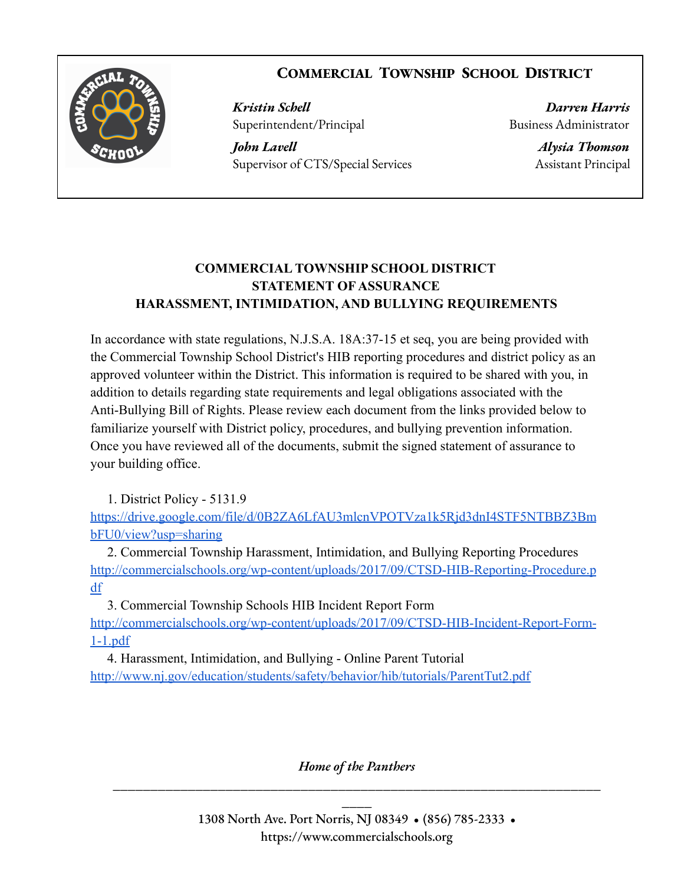



*Kristin Schell Darren Harris* Superintendent/Principal Business Administrator

*John Lavell Alysia Thomson* Supervisor of CTS/Special Services Assistant Principal

## **COMMERCIAL TOWNSHIP SCHOOL DISTRICT STATEMENT OF ASSURANCE HARASSMENT, INTIMIDATION, AND BULLYING REQUIREMENTS**

In accordance with state regulations, N.J.S.A. 18A:37-15 et seq, you are being provided with the Commercial Township School District's HIB reporting procedures and district policy as an approved volunteer within the District. This information is required to be shared with you, in addition to details regarding state requirements and legal obligations associated with the Anti-Bullying Bill of Rights. Please review each document from the links provided below to familiarize yourself with District policy, procedures, and bullying prevention information. Once you have reviewed all of the documents, submit the signed statement of assurance to your building office.

1. District Policy - 5131.9

[https://drive.google.com/file/d/0B2ZA6LfAU3mlcnVPOTVza1k5Rjd3dnI4STF5NTBBZ3Bm](https://drive.google.com/file/d/0B2ZA6LfAU3mlcnVPOTVza1k5Rjd3dnI4STF5NTBBZ3BmbFU0/view?usp=sharing) [bFU0/view?usp=sharing](https://drive.google.com/file/d/0B2ZA6LfAU3mlcnVPOTVza1k5Rjd3dnI4STF5NTBBZ3BmbFU0/view?usp=sharing)

2. Commercial Township Harassment, Intimidation, and Bullying Reporting Procedures [http://commercialschools.org/wp-content/uploads/2017/09/CTSD-HIB-Reporting-Procedure.p](http://commercialschools.org/wp-content/uploads/2017/09/CTSD-HIB-Reporting-Procedure.pdf) [df](http://commercialschools.org/wp-content/uploads/2017/09/CTSD-HIB-Reporting-Procedure.pdf)

3. Commercial Township Schools HIB Incident Report Form

[http://commercialschools.org/wp-content/uploads/2017/09/CTSD-HIB-Incident-Report-Form-](http://commercialschools.org/wp-content/uploads/2017/09/CTSD-HIB-Incident-Report-Form-1-1.pdf)[1-1.pdf](http://commercialschools.org/wp-content/uploads/2017/09/CTSD-HIB-Incident-Report-Form-1-1.pdf)

4. Harassment, Intimidation, and Bullying - Online Parent Tutorial <http://www.nj.gov/education/students/safety/behavior/hib/tutorials/ParentTut2.pdf>

*Home of the Panthers* **\_\_\_\_\_\_\_\_\_\_\_\_\_\_\_\_\_\_\_\_\_\_\_\_\_\_\_\_\_\_\_\_\_\_\_\_\_\_\_\_\_\_\_\_\_\_\_\_\_\_\_\_\_\_\_\_\_\_\_\_\_\_\_\_\_**

> 1308 North Ave. Port Norris, NJ 08349 • (856) 785-2333 • https://www.commercialschools.org